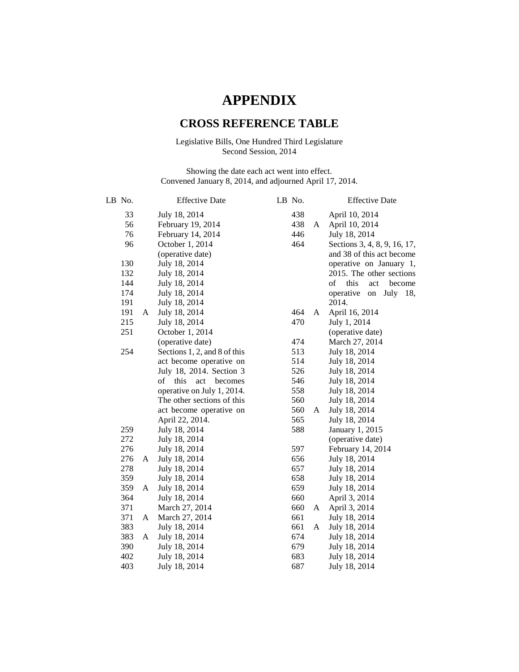## **APPENDIX**

## **CROSS REFERENCE TABLE**

## Legislative Bills, One Hundred Third Legislature Second Session, 2014

Showing the date each act went into effect. Convened January 8, 2014, and adjourned April 17, 2014.

| LB No.   |   | <b>Effective Date</b>              | LB No. |            |   | <b>Effective Date</b>            |
|----------|---|------------------------------------|--------|------------|---|----------------------------------|
| 33<br>56 |   | July 18, 2014<br>February 19, 2014 |        | 438<br>438 | A | April 10, 2014<br>April 10, 2014 |
| 76       |   | February 14, 2014                  |        | 446        |   | July 18, 2014                    |
| 96       |   | October 1, 2014                    |        | 464        |   | Sections 3, 4, 8, 9, 16, 17,     |
|          |   | (operative date)                   |        |            |   | and 38 of this act become        |
| 130      |   | July 18, 2014                      |        |            |   | operative on January 1,          |
| 132      |   | July 18, 2014                      |        |            |   | 2015. The other sections         |
| 144      |   | July 18, 2014                      |        |            |   | of<br>this<br>act<br>become      |
| 174      |   | July 18, 2014                      |        |            |   | operative<br>July 18,<br>on      |
| 191      |   | July 18, 2014                      |        |            |   | 2014.                            |
| 191      | A | July 18, 2014                      |        | 464        | A | April 16, 2014                   |
| 215      |   | July 18, 2014                      |        | 470        |   | July 1, 2014                     |
| 251      |   | October 1, 2014                    |        |            |   | (operative date)                 |
|          |   | (operative date)                   |        | 474        |   | March 27, 2014                   |
| 254      |   | Sections 1, 2, and 8 of this       |        | 513        |   | July 18, 2014                    |
|          |   | act become operative on            |        | 514        |   | July 18, 2014                    |
|          |   | July 18, 2014. Section 3           |        | 526        |   | July 18, 2014                    |
|          |   | of<br>this<br>act<br>becomes       |        | 546        |   | July 18, 2014                    |
|          |   | operative on July 1, 2014.         |        | 558        |   | July 18, 2014                    |
|          |   | The other sections of this         |        | 560        |   | July 18, 2014                    |
|          |   | act become operative on            |        | 560        | A | July 18, 2014                    |
|          |   | April 22, 2014.                    |        | 565        |   | July 18, 2014                    |
| 259      |   | July 18, 2014                      |        | 588        |   | January 1, 2015                  |
| 272      |   | July 18, 2014                      |        |            |   | (operative date)                 |
| 276      |   | July 18, 2014                      |        | 597        |   | February 14, 2014                |
| 276      | A | July 18, 2014                      |        | 656        |   | July 18, 2014                    |
| 278      |   | July 18, 2014                      |        | 657        |   | July 18, 2014                    |
| 359      |   | July 18, 2014                      |        | 658        |   | July 18, 2014                    |
| 359      | A | July 18, 2014                      |        | 659        |   | July 18, 2014                    |
| 364      |   | July 18, 2014                      |        | 660        |   | April 3, 2014                    |
| 371      |   | March 27, 2014                     |        | 660        | A | April 3, 2014                    |
| 371      | A | March 27, 2014                     |        | 661        |   | July 18, 2014                    |
| 383      |   | July 18, 2014                      |        | 661        | A | July 18, 2014                    |
| 383      | A | July 18, 2014                      |        | 674        |   | July 18, 2014                    |
| 390      |   | July 18, 2014                      |        | 679        |   | July 18, 2014                    |
| 402      |   | July 18, 2014                      |        | 683        |   | July 18, 2014                    |
| 403      |   | July 18, 2014                      |        | 687        |   | July 18, 2014                    |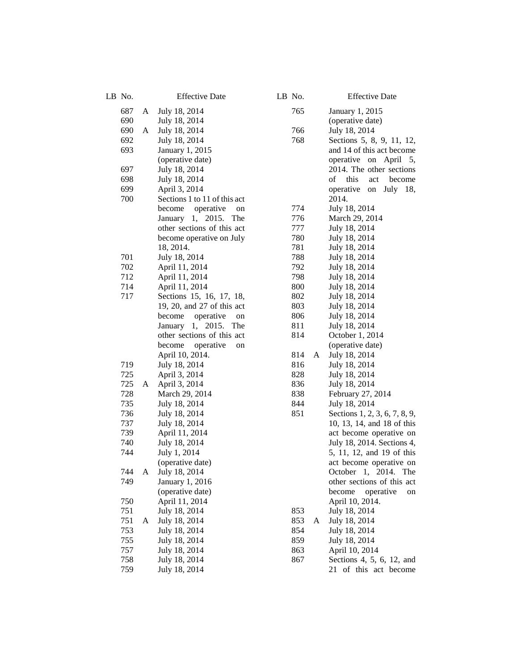| LB No.     |   | <b>Effective Date</b>          |  | LB No.     |   | <b>Effective Date</b>                          |  |
|------------|---|--------------------------------|--|------------|---|------------------------------------------------|--|
| 687        | A | July 18, 2014                  |  | 765        |   | January 1, 2015                                |  |
| 690        |   | July 18, 2014                  |  |            |   | (operative date)                               |  |
| 690        | A | July 18, 2014                  |  | 766        |   | July 18, 2014                                  |  |
| 692        |   | July 18, 2014                  |  | 768        |   | Sections 5, 8, 9, 11, 12,                      |  |
| 693        |   | January 1, 2015                |  |            |   | and 14 of this act become                      |  |
|            |   | (operative date)               |  |            |   | operative on April 5,                          |  |
| 697        |   | July 18, 2014                  |  |            |   | 2014. The other sections                       |  |
| 698        |   | July 18, 2014                  |  |            |   | of<br>this<br>act<br>become                    |  |
| 699        |   | April 3, 2014                  |  |            |   | July 18,<br>operative<br>on                    |  |
| 700        |   | Sections 1 to 11 of this act   |  |            |   | 2014.                                          |  |
|            |   | operative<br>become<br>on      |  | 774        |   | July 18, 2014                                  |  |
|            |   | January 1, 2015.<br>The        |  | 776        |   | March 29, 2014                                 |  |
|            |   | other sections of this act     |  | 777        |   | July 18, 2014                                  |  |
|            |   | become operative on July       |  | 780        |   | July 18, 2014                                  |  |
|            |   | 18, 2014.                      |  | 781        |   | July 18, 2014                                  |  |
| 701        |   | July 18, 2014                  |  | 788        |   | July 18, 2014                                  |  |
| 702        |   | April 11, 2014                 |  | 792        |   | July 18, 2014                                  |  |
| 712        |   | April 11, 2014                 |  | 798        |   | July 18, 2014                                  |  |
| 714        |   | April 11, 2014                 |  | 800        |   | July 18, 2014                                  |  |
| 717        |   | Sections 15, 16, 17, 18,       |  | 802        |   | July 18, 2014                                  |  |
|            |   | 19, 20, and 27 of this act     |  | 803        |   | July 18, 2014                                  |  |
|            |   | become<br>operative<br>on      |  | 806        |   | July 18, 2014                                  |  |
|            |   | January 1, 2015.<br>The        |  | 811        |   | July 18, 2014                                  |  |
|            |   | other sections of this act     |  | 814        |   | October 1, 2014                                |  |
|            |   | operative<br>become<br>on      |  |            |   | (operative date)                               |  |
|            |   | April 10, 2014.                |  | 814        | A | July 18, 2014                                  |  |
| 719        |   | July 18, 2014                  |  | 816        |   | July 18, 2014                                  |  |
| 725        |   | April 3, 2014                  |  | 828        |   | July 18, 2014                                  |  |
| 725        | A | April 3, 2014                  |  | 836<br>838 |   | July 18, 2014                                  |  |
| 728<br>735 |   | March 29, 2014                 |  | 844        |   | February 27, 2014                              |  |
| 736        |   | July 18, 2014                  |  | 851        |   | July 18, 2014<br>Sections 1, 2, 3, 6, 7, 8, 9, |  |
| 737        |   | July 18, 2014<br>July 18, 2014 |  |            |   | 10, 13, 14, and 18 of this                     |  |
| 739        |   | April 11, 2014                 |  |            |   | act become operative on                        |  |
| 740        |   | July 18, 2014                  |  |            |   | July 18, 2014. Sections 4,                     |  |
| 744        |   | July 1, 2014                   |  |            |   | 5, 11, 12, and 19 of this                      |  |
|            |   | (operative date)               |  |            |   | act become operative on                        |  |
| 744        |   | A July 18, 2014                |  |            |   | October 1, 2014. The                           |  |
| 749        |   | January 1, 2016                |  |            |   | other sections of this act                     |  |
|            |   | (operative date)               |  |            |   | become<br>operative<br>on                      |  |
| 750        |   | April 11, 2014                 |  |            |   | April 10, 2014.                                |  |
| 751        |   | July 18, 2014                  |  | 853        |   | July 18, 2014                                  |  |
| 751        | A | July 18, 2014                  |  | 853        | A | July 18, 2014                                  |  |
| 753        |   | July 18, 2014                  |  | 854        |   | July 18, 2014                                  |  |
| 755        |   | July 18, 2014                  |  | 859        |   | July 18, 2014                                  |  |
| 757        |   | July 18, 2014                  |  | 863        |   | April 10, 2014                                 |  |
| 758        |   | July 18, 2014                  |  | 867        |   | Sections 4, 5, 6, 12, and                      |  |
| 759        |   | July 18, 2014                  |  |            |   | 21 of this act become                          |  |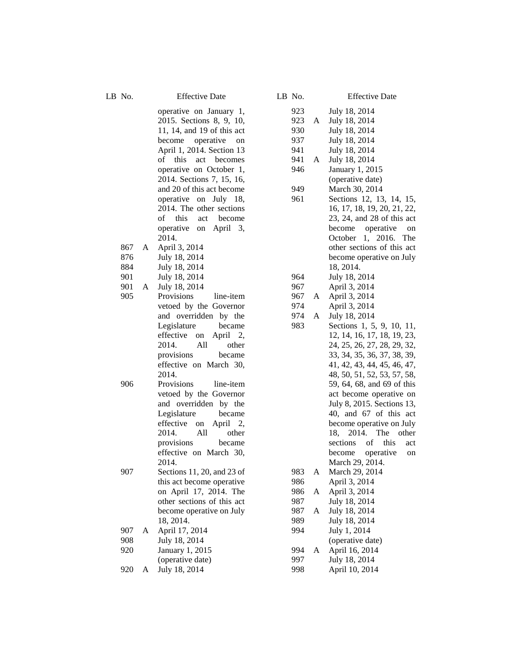867

901

LB No. Effective Date

operative on January 1, 2015. Sections 8, 9, 10, 11, 14, and 19 of this act become operative on April 1, 2014. Section 13 of this act becomes operative on October 1, 2014. Sections 7, 15, 16, and 20 of this act become operative on July 18, 2014 . The other sections of this act become operative on April 3, 2014 . A April 3, 2014 876 July 18, 2014 884 July 18, 2014 901 July 18, 2014 A July 18, 2014 905 Provisions line-item vetoed by the Governor and overridden by the Legislature became

effective on April 2, 2014. All other provisions became effective on March 30, 2014.

906 Provisions line-item vetoed by the Governor and overridden by the Legislature became effective on April 2,<br>2014. All other provisions became effective on March 30, 2014.

907 Sections 11, 20, and 23 of this act become operative on April 17, 2014. The other sections of this act become operative on July 18, 2014 .

- 907 A April 17, 2014
- 908 July 18, 2014 920 January 1, 2015 (operative date)
- 920 A July 18, 2014

| 110. |   | <b>JILLETTL</b>             |
|------|---|-----------------------------|
| 923  |   | July 18, 2014               |
| 923  | A | July 18, 2014               |
| 930  |   | July 18, 2014               |
| 937  |   | July 18, 2014               |
| 941  |   | July 18, 2014               |
| 941  | A | July 18, 2014               |
| 946  |   | January 1, 2015             |
|      |   | (operative date)            |
| 949  |   | March 30, 2014              |
| 961  |   | Sections 12, 13, 14, 15,    |
|      |   | 16, 17, 18, 19, 20, 21, 22, |
|      |   | 23, 24, and 28 of this act  |
|      |   | operative<br>become<br>on   |
|      |   | 1, 2016. The<br>October     |
|      |   | other sections of this act  |
|      |   | become operative on July    |
|      |   | 18, 2014.                   |
| 964  |   | July 18, 2014               |
| 967  |   | April 3, 2014               |
| 967  | A | April 3, 2014               |
| 974  |   | April 3, 2014               |
| 974  | A | July 18, 2014               |
| 983  |   | Sections 1, 5, 9, 10, 11,   |
|      |   | 12, 14, 16, 17, 18, 19, 23, |
|      |   | 24, 25, 26, 27, 28, 29, 32, |
|      |   | 33, 34, 35, 36, 37, 38, 39, |
|      |   | 41, 42, 43, 44, 45, 46, 47, |
|      |   | 48, 50, 51, 52, 53, 57, 58, |
|      |   | 59, 64, 68, and 69 of this  |
|      |   | act become operative on     |
|      |   | July 8, 2015. Sections 13,  |
|      |   | 40, and 67 of this act      |
|      |   | become operative on July    |
|      |   | 2014.<br>The other<br>18,   |
|      |   | sections of<br>this<br>act  |
|      |   | become operative on         |
|      |   | March 29, 2014.             |
| 983  | A | March 29, 2014              |
| 986  |   | April 3, 2014               |
| 986  | A | April 3, 2014               |
| 987  |   | July 18, 2014               |

986 987 A July 18, 2014

994

989 July 18, 2014 994 July 1, 2014

(operative date)

A April 16, 2014 997 July 18, 2014 998 April 10, 2014